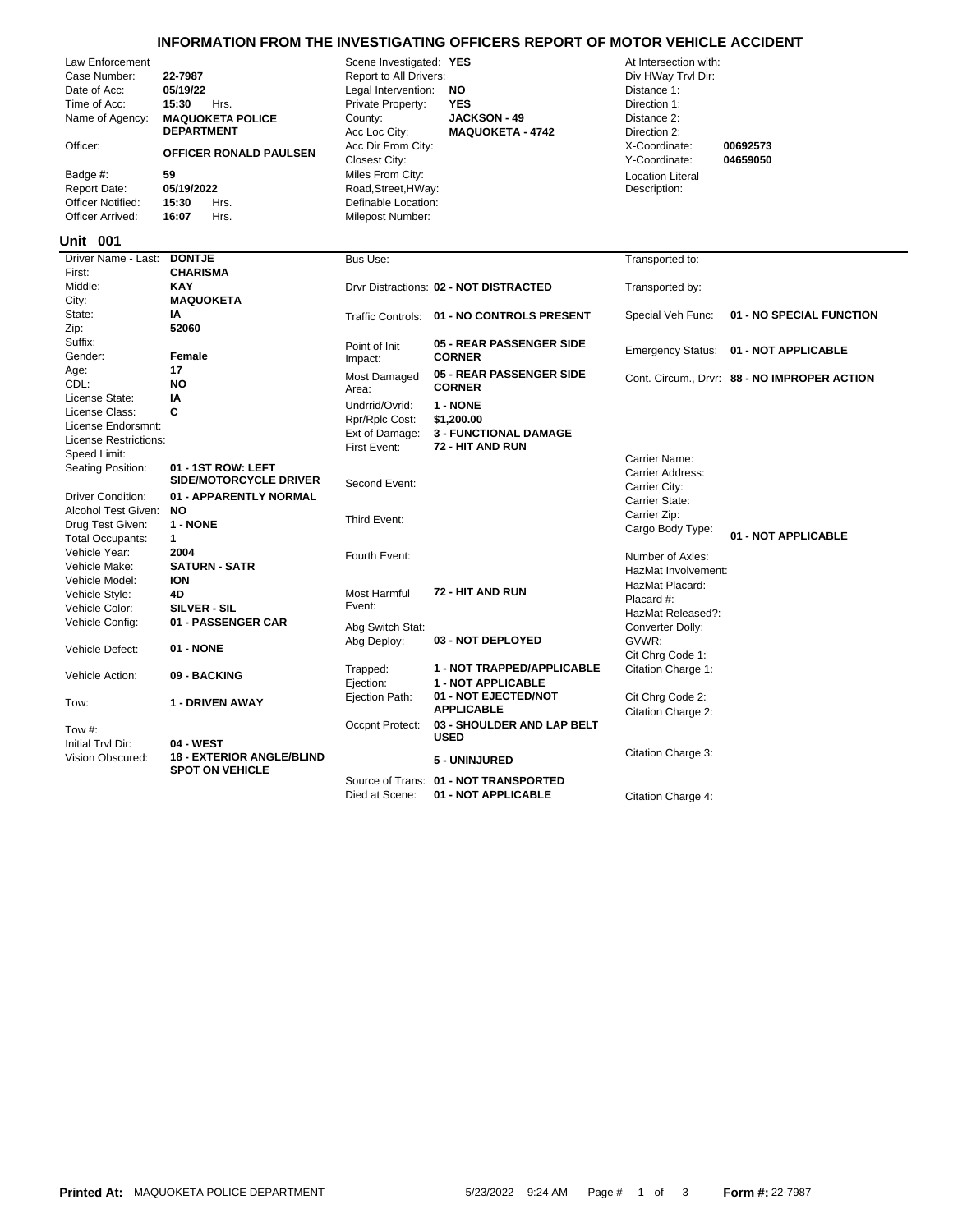## **INFORMATION FROM THE INVESTIGATING OFFICERS REPORT OF MOTOR VEHICLE ACCIDENT**

| Law Enforcement<br>Case Number:<br>Date of Acc:<br>Time of Acc:<br>Name of Agency:<br>Officer:<br>Badge #:<br>Report Date:<br><b>Officer Notified:</b><br>Officer Arrived:<br><b>Unit 001</b> | 22-7987<br>05/19/22<br>15:30<br>Hrs.<br><b>MAQUOKETA POLICE</b><br><b>DEPARTMENT</b><br>OFFICER RONALD PAULSEN<br>59<br>05/19/2022<br>15:30<br>Hrs.<br>16:07<br>Hrs. | Scene Investigated: YES<br>Report to All Drivers:<br>Legal Intervention:<br>Private Property:<br>County:<br>Acc Loc City:<br>Acc Dir From City:<br>Closest City:<br>Miles From City:<br>Road, Street, HWay:<br>Definable Location:<br>Milepost Number: | <b>NO</b><br><b>YES</b><br><b>JACKSON - 49</b><br><b>MAQUOKETA - 4742</b> | At Intersection with:<br>Div HWay Trvl Dir:<br>Distance 1:<br>Direction 1:<br>Distance 2:<br>Direction 2:<br>X-Coordinate:<br>Y-Coordinate:<br><b>Location Literal</b><br>Description: | 00692573<br>04659050                         |
|-----------------------------------------------------------------------------------------------------------------------------------------------------------------------------------------------|----------------------------------------------------------------------------------------------------------------------------------------------------------------------|--------------------------------------------------------------------------------------------------------------------------------------------------------------------------------------------------------------------------------------------------------|---------------------------------------------------------------------------|----------------------------------------------------------------------------------------------------------------------------------------------------------------------------------------|----------------------------------------------|
| Driver Name - Last:                                                                                                                                                                           | <b>DONTJE</b>                                                                                                                                                        | Bus Use:                                                                                                                                                                                                                                               |                                                                           | Transported to:                                                                                                                                                                        |                                              |
| First:                                                                                                                                                                                        | <b>CHARISMA</b>                                                                                                                                                      |                                                                                                                                                                                                                                                        |                                                                           |                                                                                                                                                                                        |                                              |
| Middle:                                                                                                                                                                                       | <b>KAY</b>                                                                                                                                                           |                                                                                                                                                                                                                                                        | Drvr Distractions: 02 - NOT DISTRACTED                                    | Transported by:                                                                                                                                                                        |                                              |
| City:                                                                                                                                                                                         | <b>MAQUOKETA</b>                                                                                                                                                     |                                                                                                                                                                                                                                                        |                                                                           |                                                                                                                                                                                        |                                              |
| State:                                                                                                                                                                                        | IA                                                                                                                                                                   |                                                                                                                                                                                                                                                        | Traffic Controls: 01 - NO CONTROLS PRESENT                                | Special Veh Func:                                                                                                                                                                      | 01 - NO SPECIAL FUNCTION                     |
| Zip:                                                                                                                                                                                          | 52060                                                                                                                                                                |                                                                                                                                                                                                                                                        |                                                                           |                                                                                                                                                                                        |                                              |
| Suffix:                                                                                                                                                                                       |                                                                                                                                                                      | Point of Init                                                                                                                                                                                                                                          | <b>05 - REAR PASSENGER SIDE</b>                                           | <b>Emergency Status:</b>                                                                                                                                                               | 01 - NOT APPLICABLE                          |
| Gender:                                                                                                                                                                                       | Female<br>17                                                                                                                                                         | Impact:                                                                                                                                                                                                                                                | <b>CORNER</b>                                                             |                                                                                                                                                                                        |                                              |
| Age:<br>CDL:                                                                                                                                                                                  | <b>NO</b>                                                                                                                                                            | Most Damaged                                                                                                                                                                                                                                           | 05 - REAR PASSENGER SIDE                                                  |                                                                                                                                                                                        | Cont. Circum., Drvr: 88 - NO IMPROPER ACTION |
| License State:                                                                                                                                                                                | IA                                                                                                                                                                   | Area:                                                                                                                                                                                                                                                  | <b>CORNER</b>                                                             |                                                                                                                                                                                        |                                              |
| License Class:                                                                                                                                                                                | C                                                                                                                                                                    | Undrrid/Ovrid:                                                                                                                                                                                                                                         | 1 - NONE                                                                  |                                                                                                                                                                                        |                                              |
| License Endorsmnt:                                                                                                                                                                            |                                                                                                                                                                      | Rpr/Rplc Cost:                                                                                                                                                                                                                                         | \$1,200.00                                                                |                                                                                                                                                                                        |                                              |
| License Restrictions:                                                                                                                                                                         |                                                                                                                                                                      | Ext of Damage:                                                                                                                                                                                                                                         | <b>3 - FUNCTIONAL DAMAGE</b>                                              |                                                                                                                                                                                        |                                              |
| Speed Limit:                                                                                                                                                                                  |                                                                                                                                                                      | First Event:                                                                                                                                                                                                                                           | 72 - HIT AND RUN                                                          |                                                                                                                                                                                        |                                              |
| Seating Position:                                                                                                                                                                             | 01 - 1ST ROW: LEFT<br>SIDE/MOTORCYCLE DRIVER                                                                                                                         | Second Event:                                                                                                                                                                                                                                          |                                                                           | Carrier Name:<br>Carrier Address:<br>Carrier City:                                                                                                                                     |                                              |
| <b>Driver Condition:</b>                                                                                                                                                                      | 01 - APPARENTLY NORMAL                                                                                                                                               |                                                                                                                                                                                                                                                        |                                                                           | Carrier State:                                                                                                                                                                         |                                              |
| Alcohol Test Given:                                                                                                                                                                           | <b>NO</b>                                                                                                                                                            |                                                                                                                                                                                                                                                        |                                                                           | Carrier Zip:                                                                                                                                                                           |                                              |
| Drug Test Given:                                                                                                                                                                              | 1 - NONE                                                                                                                                                             | Third Event:                                                                                                                                                                                                                                           |                                                                           | Cargo Body Type:                                                                                                                                                                       |                                              |
| <b>Total Occupants:</b>                                                                                                                                                                       | $\mathbf{1}$                                                                                                                                                         |                                                                                                                                                                                                                                                        |                                                                           |                                                                                                                                                                                        | 01 - NOT APPLICABLE                          |
| Vehicle Year:                                                                                                                                                                                 | 2004                                                                                                                                                                 | Fourth Event:                                                                                                                                                                                                                                          |                                                                           | Number of Axles:                                                                                                                                                                       |                                              |
| Vehicle Make:                                                                                                                                                                                 | <b>SATURN - SATR</b>                                                                                                                                                 |                                                                                                                                                                                                                                                        |                                                                           | HazMat Involvement:                                                                                                                                                                    |                                              |
| Vehicle Model:                                                                                                                                                                                | <b>ION</b>                                                                                                                                                           |                                                                                                                                                                                                                                                        | 72 - HIT AND RUN                                                          | HazMat Placard:                                                                                                                                                                        |                                              |
| Vehicle Style:                                                                                                                                                                                | 4D                                                                                                                                                                   | Most Harmful<br>Event:                                                                                                                                                                                                                                 |                                                                           | Placard #:                                                                                                                                                                             |                                              |
| Vehicle Color:                                                                                                                                                                                | <b>SILVER - SIL</b>                                                                                                                                                  |                                                                                                                                                                                                                                                        |                                                                           | HazMat Released?:                                                                                                                                                                      |                                              |
| Vehicle Config:                                                                                                                                                                               | 01 - PASSENGER CAR                                                                                                                                                   | Abg Switch Stat:                                                                                                                                                                                                                                       |                                                                           | Converter Dolly:                                                                                                                                                                       |                                              |
| Vehicle Defect:                                                                                                                                                                               | 01 - NONE                                                                                                                                                            | Abg Deploy:                                                                                                                                                                                                                                            | 03 - NOT DEPLOYED                                                         | GVWR:                                                                                                                                                                                  |                                              |
|                                                                                                                                                                                               |                                                                                                                                                                      |                                                                                                                                                                                                                                                        |                                                                           | Cit Chrg Code 1:                                                                                                                                                                       |                                              |
| Vehicle Action:                                                                                                                                                                               | 09 - BACKING                                                                                                                                                         | Trapped:<br>Ejection:                                                                                                                                                                                                                                  | 1 - NOT TRAPPED/APPLICABLE<br>1 - NOT APPLICABLE                          | Citation Charge 1:                                                                                                                                                                     |                                              |
| Tow:                                                                                                                                                                                          | <b>1 - DRIVEN AWAY</b>                                                                                                                                               | Ejection Path:                                                                                                                                                                                                                                         | 01 - NOT EJECTED/NOT<br><b>APPLICABLE</b>                                 | Cit Chrg Code 2:                                                                                                                                                                       |                                              |
|                                                                                                                                                                                               |                                                                                                                                                                      |                                                                                                                                                                                                                                                        | 03 - SHOULDER AND LAP BELT                                                | Citation Charge 2:                                                                                                                                                                     |                                              |
| Tow #:                                                                                                                                                                                        |                                                                                                                                                                      | Occpnt Protect:                                                                                                                                                                                                                                        | <b>USED</b>                                                               |                                                                                                                                                                                        |                                              |
| Initial Trvl Dir:                                                                                                                                                                             | 04 - WEST                                                                                                                                                            |                                                                                                                                                                                                                                                        |                                                                           | Citation Charge 3:                                                                                                                                                                     |                                              |
| Vision Obscured:                                                                                                                                                                              | <b>18 - EXTERIOR ANGLE/BLIND</b><br><b>SPOT ON VEHICLE</b>                                                                                                           |                                                                                                                                                                                                                                                        | 5 - UNINJURED                                                             |                                                                                                                                                                                        |                                              |
|                                                                                                                                                                                               |                                                                                                                                                                      |                                                                                                                                                                                                                                                        | Source of Trans: 01 - NOT TRANSPORTED                                     |                                                                                                                                                                                        |                                              |

Died at Scene: **01 - NOT APPLICABLE** Citation Charge 4: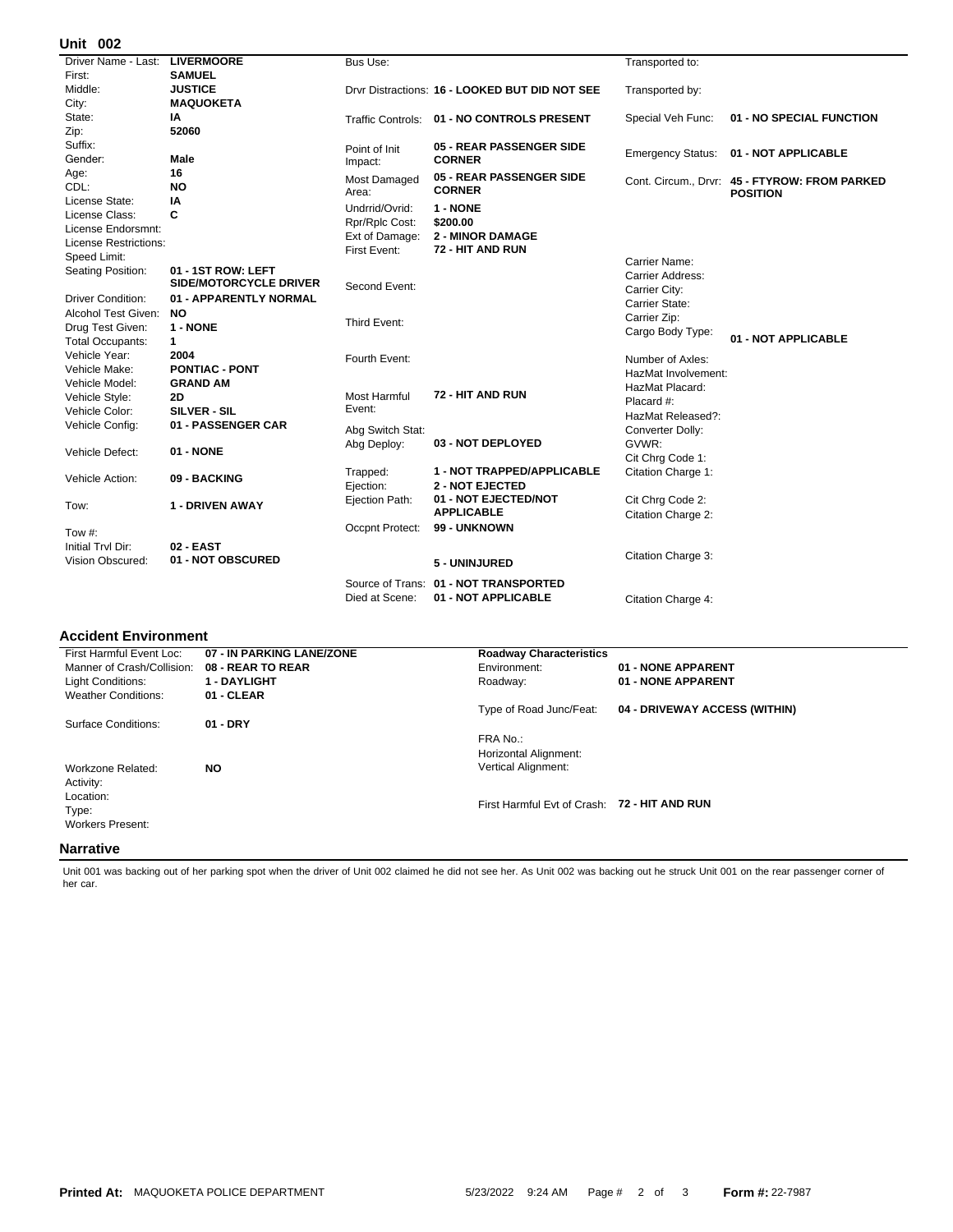## **002 Unit**

| אט וווע                        |                               |                                |                                                |                          |                                                                  |
|--------------------------------|-------------------------------|--------------------------------|------------------------------------------------|--------------------------|------------------------------------------------------------------|
| Driver Name - Last: LIVERMOORE |                               | Bus Use:                       |                                                | Transported to:          |                                                                  |
| First:                         | <b>SAMUEL</b>                 |                                |                                                |                          |                                                                  |
| Middle:                        | <b>JUSTICE</b>                |                                | Drvr Distractions: 16 - LOOKED BUT DID NOT SEE | Transported by:          |                                                                  |
| City:                          | <b>MAQUOKETA</b>              |                                |                                                |                          |                                                                  |
| State:                         | IA                            |                                | Traffic Controls: 01 - NO CONTROLS PRESENT     | Special Veh Func:        | 01 - NO SPECIAL FUNCTION                                         |
| Zip:                           | 52060                         |                                |                                                |                          |                                                                  |
| Suffix:                        |                               | Point of Init                  | 05 - REAR PASSENGER SIDE                       |                          | 01 - NOT APPLICABLE                                              |
| Gender:                        | Male                          | Impact:                        | <b>CORNER</b>                                  | <b>Emergency Status:</b> |                                                                  |
| Age:                           | 16                            | Most Damaged                   | 05 - REAR PASSENGER SIDE                       |                          |                                                                  |
| CDL:                           | <b>NO</b>                     | Area:                          | <b>CORNER</b>                                  |                          | Cont. Circum., Drvr: 45 - FTYROW: FROM PARKED<br><b>POSITION</b> |
| License State:                 | IA                            | Undrrid/Ovrid:                 | 1 - NONE                                       |                          |                                                                  |
| License Class:                 | C                             |                                | \$200.00                                       |                          |                                                                  |
| License Endorsmnt:             |                               | Rpr/Rplc Cost:                 | <b>2 - MINOR DAMAGE</b>                        |                          |                                                                  |
| License Restrictions:          |                               | Ext of Damage:<br>First Event: | 72 - HIT AND RUN                               |                          |                                                                  |
| Speed Limit:                   |                               |                                |                                                | Carrier Name:            |                                                                  |
| Seating Position:              | 01 - 1ST ROW: LEFT            |                                |                                                | Carrier Address:         |                                                                  |
|                                | <b>SIDE/MOTORCYCLE DRIVER</b> | Second Event:                  |                                                | Carrier City:            |                                                                  |
| <b>Driver Condition:</b>       | 01 - APPARENTLY NORMAL        |                                |                                                | Carrier State:           |                                                                  |
| Alcohol Test Given:            | NO.                           |                                |                                                | Carrier Zip:             |                                                                  |
| Drug Test Given:               | 1 - NONE                      | Third Event:                   |                                                | Cargo Body Type:         |                                                                  |
| <b>Total Occupants:</b>        | $\mathbf{1}$                  |                                |                                                |                          | 01 - NOT APPLICABLE                                              |
| Vehicle Year:                  | 2004                          | Fourth Event:                  |                                                | Number of Axles:         |                                                                  |
| Vehicle Make:                  | <b>PONTIAC - PONT</b>         |                                |                                                | HazMat Involvement:      |                                                                  |
| Vehicle Model:                 | <b>GRAND AM</b>               |                                |                                                | HazMat Placard:          |                                                                  |
| Vehicle Style:                 | 2D                            | <b>Most Harmful</b>            | 72 - HIT AND RUN                               | Placard #:               |                                                                  |
| Vehicle Color:                 | SILVER - SIL                  | Event:                         |                                                | HazMat Released?:        |                                                                  |
| Vehicle Config:                | 01 - PASSENGER CAR            | Abg Switch Stat:               |                                                | Converter Dolly:         |                                                                  |
|                                |                               | Abg Deploy:                    | 03 - NOT DEPLOYED                              | GVWR:                    |                                                                  |
| Vehicle Defect:                | 01 - NONE                     |                                |                                                | Cit Chrg Code 1:         |                                                                  |
|                                |                               | Trapped:                       | 1 - NOT TRAPPED/APPLICABLE                     | Citation Charge 1:       |                                                                  |
| Vehicle Action:                | 09 - BACKING                  | Ejection:                      | <b>2 - NOT EJECTED</b>                         |                          |                                                                  |
|                                |                               | Ejection Path:                 | 01 - NOT EJECTED/NOT                           | Cit Chrg Code 2:         |                                                                  |
| Tow:                           | <b>1 - DRIVEN AWAY</b>        |                                | <b>APPLICABLE</b>                              |                          |                                                                  |
|                                |                               | Occpnt Protect:                | 99 - UNKNOWN                                   | Citation Charge 2:       |                                                                  |
| Tow #:                         |                               |                                |                                                |                          |                                                                  |
| Initial Tryl Dir:              | 02 - EAST                     |                                |                                                | Citation Charge 3:       |                                                                  |
| <b>Vision Obscured:</b>        | 01 - NOT OBSCURED             |                                | 5 - UNINJURED                                  |                          |                                                                  |
|                                |                               |                                | Source of Trans: 01 - NOT TRANSPORTED          |                          |                                                                  |
|                                |                               | Died at Scene:                 | 01 - NOT APPLICABLE                            | Citation Charge 4:       |                                                                  |
|                                |                               |                                |                                                |                          |                                                                  |

## **Accident Environment**

| First Harmful Event Loc:   | 07 - IN PARKING LANE/ZONE | <b>Roadway Characteristics</b> |                               |
|----------------------------|---------------------------|--------------------------------|-------------------------------|
| Manner of Crash/Collision: | 08 - REAR TO REAR         | Environment:                   | 01 - NONE APPARENT            |
| <b>Light Conditions:</b>   | <b>1 - DAYLIGHT</b>       | Roadway:                       | 01 - NONE APPARENT            |
| <b>Weather Conditions:</b> | 01 - CLEAR                |                                |                               |
|                            |                           | Type of Road Junc/Feat:        | 04 - DRIVEWAY ACCESS (WITHIN) |
| Surface Conditions:        | $01 - DRY$                |                                |                               |
|                            |                           | FRA No.:                       |                               |
|                            |                           | Horizontal Alignment:          |                               |
| Workzone Related:          | <b>NO</b>                 | <b>Vertical Alignment:</b>     |                               |
| Activity:                  |                           |                                |                               |
| Location:                  |                           |                                |                               |
| Type:                      |                           | First Harmful Evt of Crash:    | <b>72 - HIT AND RUN</b>       |
| <b>Workers Present:</b>    |                           |                                |                               |
|                            |                           |                                |                               |
| <b>Narrative</b>           |                           |                                |                               |

Unit 001 was backing out of her parking spot when the driver of Unit 002 claimed he did not see her. As Unit 002 was backing out he struck Unit 001 on the rear passenger corner of her car.